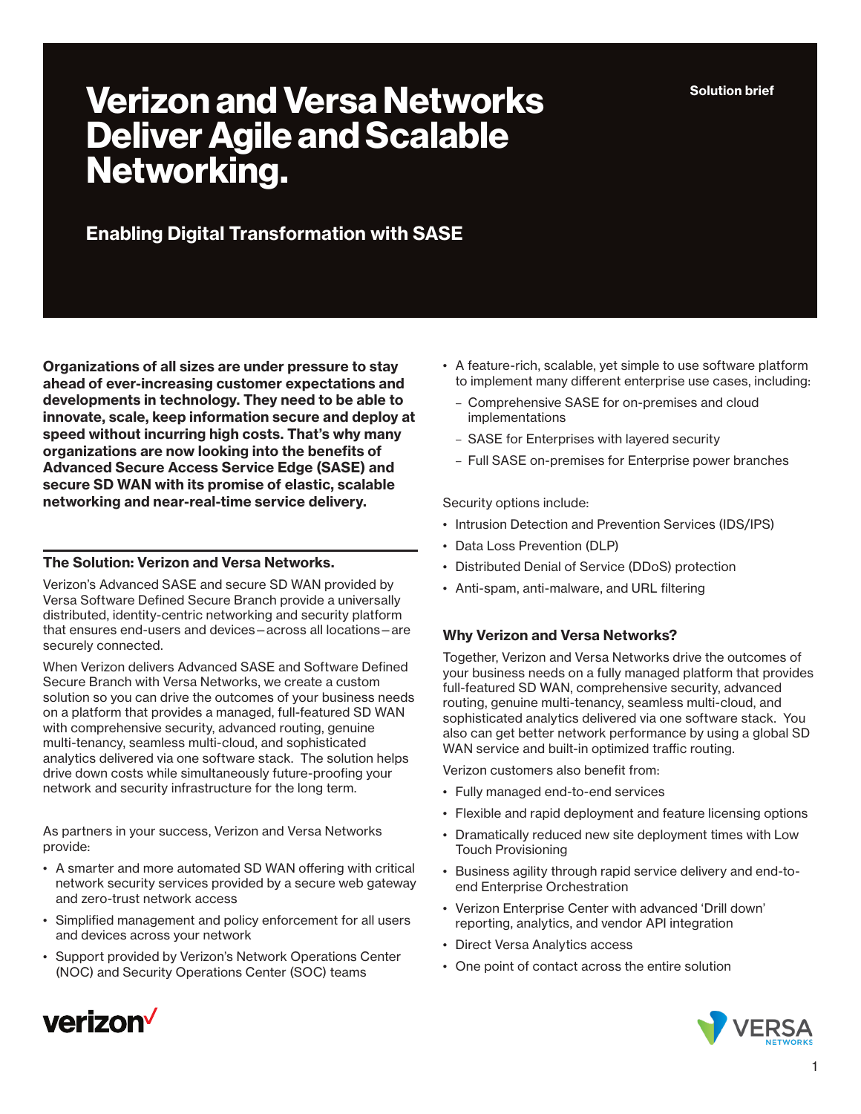**Solution brief**

# **Verizon and Versa Networks Deliver Agile and Scalable Networking.**

# **Enabling Digital Transformation with SASE**

**Organizations of all sizes are under pressure to stay ahead of ever-increasing customer expectations and developments in technology. They need to be able to innovate, scale, keep information secure and deploy at speed without incurring high costs. That's why many organizations are now looking into the benefits of Advanced Secure Access Service Edge (SASE) and secure SD WAN with its promise of elastic, scalable networking and near-real-time service delivery.** 

### **The Solution: Verizon and Versa Networks.**

Verizon's Advanced SASE and secure SD WAN provided by Versa Software Defined Secure Branch provide a universally distributed, identity-centric networking and security platform that ensures end-users and devices—across all locations—are securely connected.

When Verizon delivers Advanced SASE and Software Defined Secure Branch with Versa Networks, we create a custom solution so you can drive the outcomes of your business needs on a platform that provides a managed, full-featured SD WAN with comprehensive security, advanced routing, genuine multi-tenancy, seamless multi-cloud, and sophisticated analytics delivered via one software stack. The solution helps drive down costs while simultaneously future-proofing your network and security infrastructure for the long term.

As partners in your success, Verizon and Versa Networks provide:

- A smarter and more automated SD WAN offering with critical network security services provided by a secure web gateway and zero-trust network access
- Simplified management and policy enforcement for all users and devices across your network
- Support provided by Verizon's Network Operations Center (NOC) and Security Operations Center (SOC) teams
- A feature-rich, scalable, yet simple to use software platform to implement many different enterprise use cases, including:
	- Comprehensive SASE for on-premises and cloud implementations
	- SASE for Enterprises with layered security
	- Full SASE on-premises for Enterprise power branches

Security options include:

- Intrusion Detection and Prevention Services (IDS/IPS)
- Data Loss Prevention (DLP)
- Distributed Denial of Service (DDoS) protection
- Anti-spam, anti-malware, and URL filtering

# **Why Verizon and Versa Networks?**

Together, Verizon and Versa Networks drive the outcomes of your business needs on a fully managed platform that provides full-featured SD WAN, comprehensive security, advanced routing, genuine multi-tenancy, seamless multi-cloud, and sophisticated analytics delivered via one software stack. You also can get better network performance by using a global SD WAN service and built-in optimized traffic routing.

Verizon customers also benefit from:

- Fully managed end-to-end services
- Flexible and rapid deployment and feature licensing options
- Dramatically reduced new site deployment times with Low Touch Provisioning
- Business agility through rapid service delivery and end-toend Enterprise Orchestration
- Verizon Enterprise Center with advanced 'Drill down' reporting, analytics, and vendor API integration
- Direct Versa Analytics access
- One point of contact across the entire solution